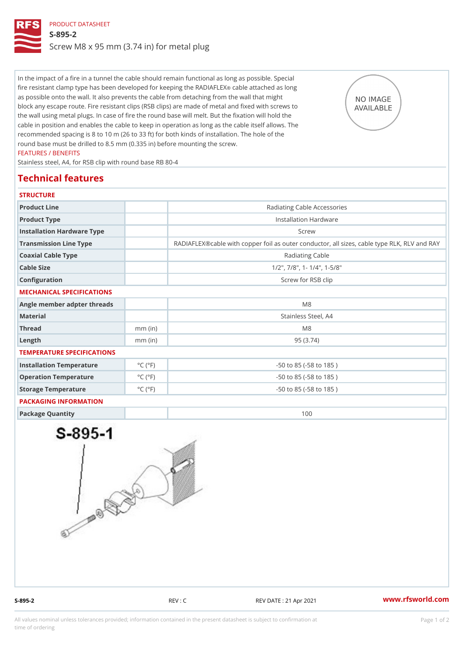# PRODUCT DATASHEET S-895-2 Screw M8 x 95 mm (3.74 in) for metal plug

In the impact of a fire in a tunnel the cable should remain functional as long as possible. Special fire resistant clamp type has been developed foorckaebel**piag**talbe eRNAaDsIAIFoldEX as possible onto the wall. It also prevents the cable from detaching from the wall that might block any escape route. Fire resistant clips (RSB clips) are made of metal and fixed with screws to the wall using metal plugs. In case of fire the round base will melt. But the fixation will hold the cable in position and enables the cable to keep in operation as long as the cable itself allows. The recommended spacing is 8 to 10 m (26 to 33 ft) for both kinds of installation. The hole of the round base must be drilled to 8.5 mm (0.335 in) before mounting the screw. FEATURES / BENEFITS

Stainless steel, A4, for RSB clip with round base RB 80-4

## Technical features

#### **STRUCTURE**

| Product Line                |                              | Radiating Cable Accessories                                     |  |
|-----------------------------|------------------------------|-----------------------------------------------------------------|--|
| Product Type                |                              | Installation Hardware                                           |  |
| Installation Hardware Type  |                              | Screw                                                           |  |
| Transmission Line Type      |                              | RADIAFLEX®cable with copper foil as outer conductor, all sizes, |  |
| Coaxial Cable Type          |                              | Radiating Cable                                                 |  |
| Cable Size                  |                              | $1/2$ ", $7/8$ ", 1- $1/4$ ", 1-5/8"                            |  |
| Configuration               |                              | Screw for RSB clip                                              |  |
| MECHANICAL SPECIFICATIONS   |                              |                                                                 |  |
| Angle member adpter threads |                              | M 8                                                             |  |
| Material                    |                              | Stainless Steel, A4                                             |  |
| Thread                      | $mm$ (in)                    | M 8                                                             |  |
| $L$ ength                   | $mm$ (in)                    | 95(3.74)                                                        |  |
| TEMPERATURE SPECIFICATIONS  |                              |                                                                 |  |
| Installation Temperature    | $^{\circ}$ C ( $^{\circ}$ F  | $-50$ to $85$ ( $-58$ to $185$ )                                |  |
| Operation Temperature       | $^{\circ}$ C ( $^{\circ}$ F  | $-50$ to $85$ ( $-58$ to $185$ )                                |  |
| Storage Temperature         | $^{\circ}$ C ( $^{\circ}$ F) | $-50$ to $85$ ( $-58$ to $185$ )                                |  |
| PACKAGING INFORMATION       |                              |                                                                 |  |
| Package Quantity            |                              | 100                                                             |  |
|                             |                              |                                                                 |  |

S-895-2 REV : C REV DATE : 21 Apr 2021 WWW.rfsworld.com